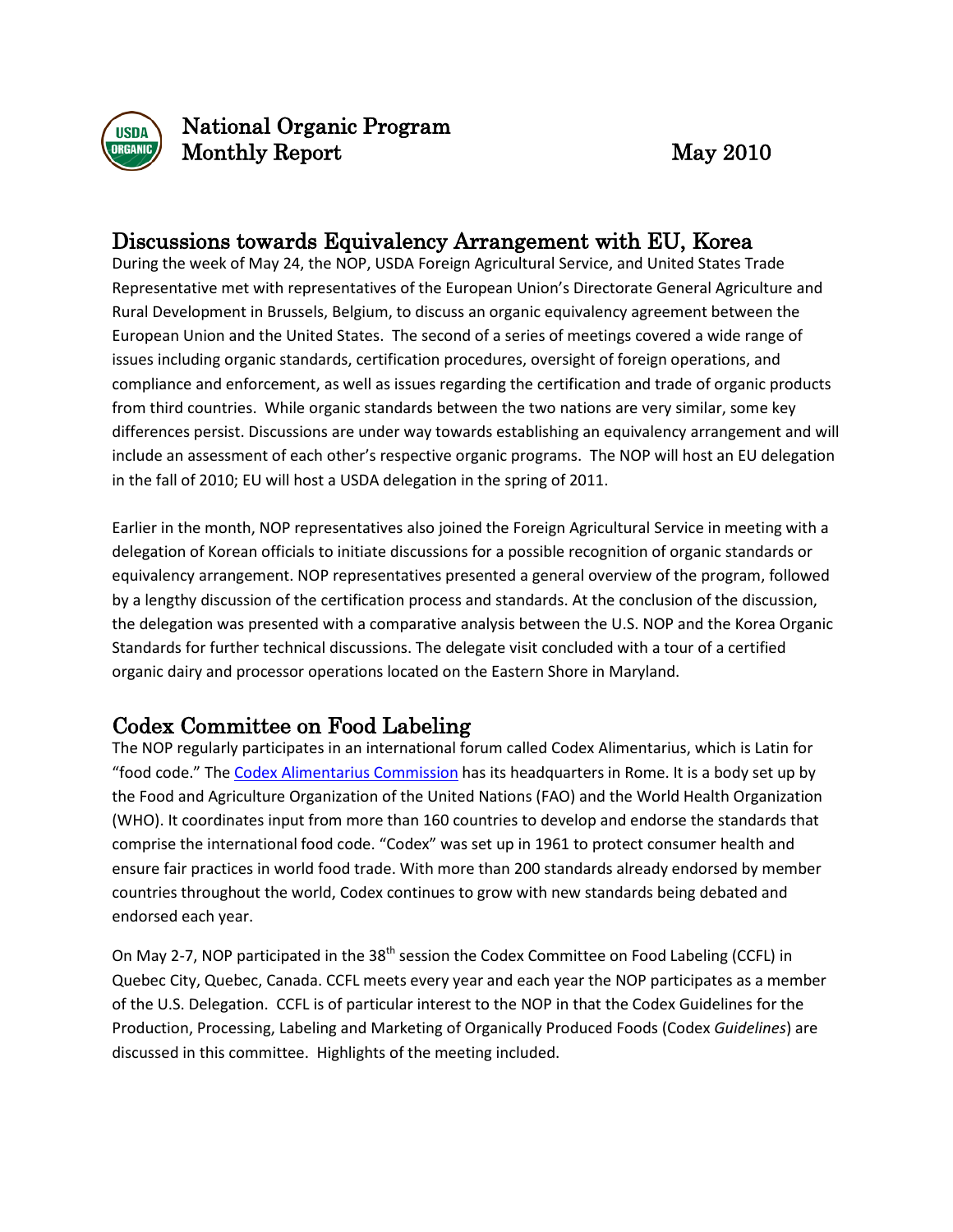

National Organic Program Monthly Report May 2010

#### Discussions towards Equivalency Arrangement with EU, Korea

During the week of May 24, the NOP, USDA Foreign Agricultural Service, and United States Trade Representative met with representatives of the European Union's Directorate General Agriculture and Rural Development in Brussels, Belgium, to discuss an organic equivalency agreement between the European Union and the United States. The second of a series of meetings covered a wide range of issues including organic standards, certification procedures, oversight of foreign operations, and compliance and enforcement, as well as issues regarding the certification and trade of organic products from third countries. While organic standards between the two nations are very similar, some key differences persist. Discussions are under way towards establishing an equivalency arrangement and will include an assessment of each other's respective organic programs. The NOP will host an EU delegation in the fall of 2010; EU will host a USDA delegation in the spring of 2011.

Earlier in the month, NOP representatives also joined the Foreign Agricultural Service in meeting with a delegation of Korean officials to initiate discussions for a possible recognition of organic standards or equivalency arrangement. NOP representatives presented a general overview of the program, followed by a lengthy discussion of the certification process and standards. At the conclusion of the discussion, the delegation was presented with a comparative analysis between the U.S. NOP and the Korea Organic Standards for further technical discussions. The delegate visit concluded with a tour of a certified organic dairy and processor operations located on the Eastern Shore in Maryland.

## Codex Committee on Food Labeling

The NOP regularly participates in an international forum called Codex Alimentarius, which is Latin for "food code." The Codex [Alimentarius](http://www.codexalimentarius.net/web/index_en.jsp) Commission has its headquarters in Rome. It is a body set up by the Food and Agriculture Organization of the United Nations (FAO) and the World Health Organization (WHO). It coordinates input from more than 160 countries to develop and endorse the standards that comprise the international food code. "Codex" was set up in 1961 to protect consumer health and ensure fair practices in world food trade. With more than 200 standards already endorsed by member countries throughout the world, Codex continues to grow with new standards being debated and endorsed each year.

On May 2-7, NOP participated in the 38<sup>th</sup> session the Codex Committee on Food Labeling (CCFL) in Quebec City, Quebec, Canada. CCFL meets every year and each year the NOP participates as a member of the U.S. Delegation. CCFL is of particular interest to the NOP in that the Codex Guidelines for the Production, Processing, Labeling and Marketing of Organically Produced Foods (Codex *Guidelines*) are discussed in this committee. Highlights of the meeting included.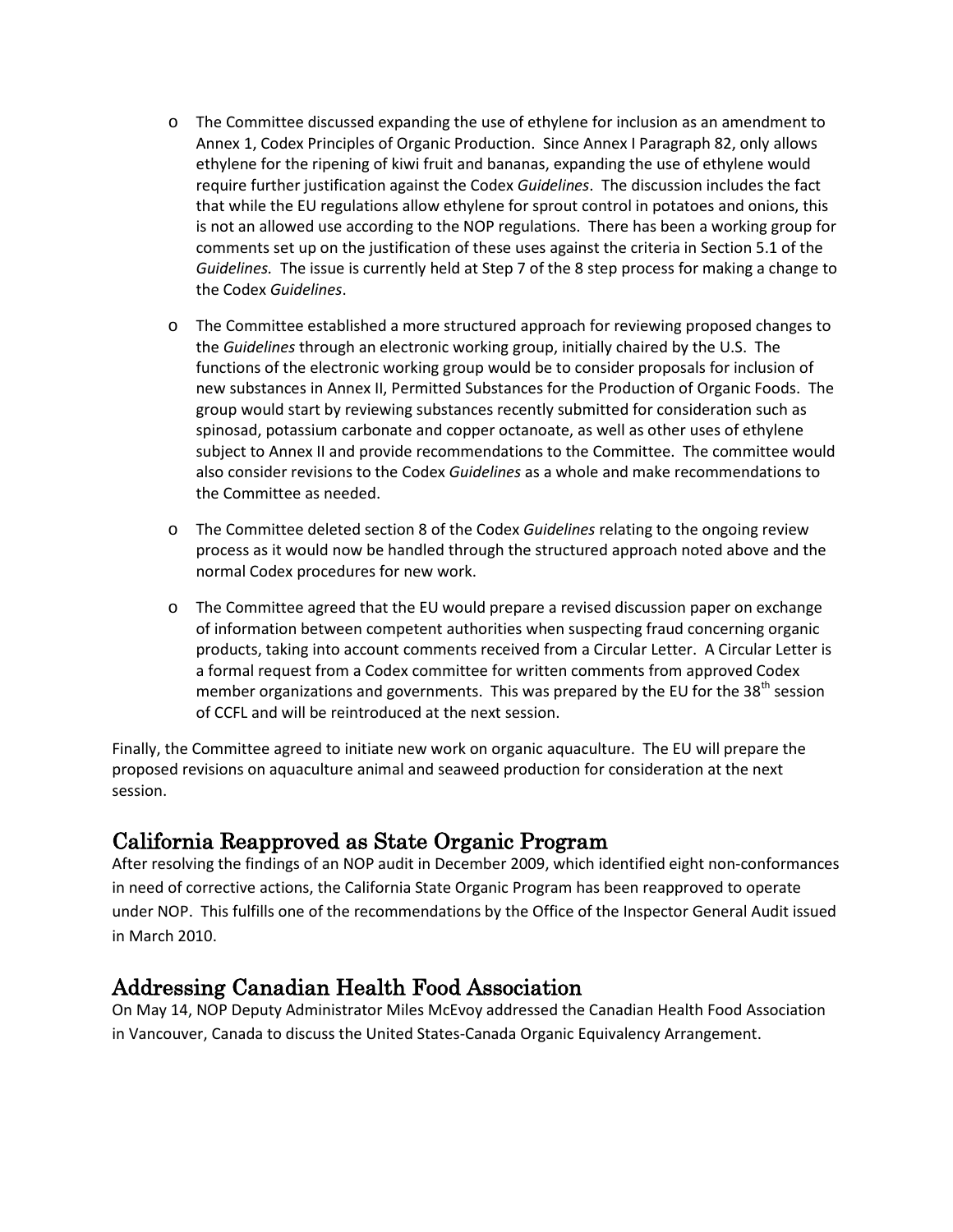- o The Committee discussed expanding the use of ethylene for inclusion as an amendment to Annex 1, Codex Principles of Organic Production. Since Annex I Paragraph 82, only allows ethylene for the ripening of kiwi fruit and bananas, expanding the use of ethylene would require further justification against the Codex *Guidelines*. The discussion includes the fact that while the EU regulations allow ethylene for sprout control in potatoes and onions, this is not an allowed use according to the NOP regulations. There has been a working group for comments set up on the justification of these uses against the criteria in Section 5.1 of the *Guidelines.* The issue is currently held at Step 7 of the 8 step process for making a change to the Codex *Guidelines*.
- o The Committee established a more structured approach for reviewing proposed changes to the *Guidelines* through an electronic working group, initially chaired by the U.S. The functions of the electronic working group would be to consider proposals for inclusion of new substances in Annex II, Permitted Substances for the Production of Organic Foods. The group would start by reviewing substances recently submitted for consideration such as spinosad, potassium carbonate and copper octanoate, as well as other uses of ethylene subject to Annex II and provide recommendations to the Committee. The committee would also consider revisions to the Codex *Guidelines* as a whole and make recommendations to the Committee as needed.
- o The Committee deleted section 8 of the Codex *Guidelines* relating to the ongoing review process as it would now be handled through the structured approach noted above and the normal Codex procedures for new work.
- o The Committee agreed that the EU would prepare a revised discussion paper on exchange of information between competent authorities when suspecting fraud concerning organic products, taking into account comments received from a Circular Letter. A Circular Letter is a formal request from a Codex committee for written comments from approved Codex member organizations and governments. This was prepared by the EU for the 38<sup>th</sup> session of CCFL and will be reintroduced at the next session.

Finally, the Committee agreed to initiate new work on organic aquaculture. The EU will prepare the proposed revisions on aquaculture animal and seaweed production for consideration at the next session.

#### California Reapproved as State Organic Program

After resolving the findings of an NOP audit in December 2009, which identified eight non-conformances in need of corrective actions, the California State Organic Program has been reapproved to operate under NOP. This fulfills one of the recommendations by the Office of the Inspector General Audit issued in March 2010.

#### Addressing Canadian Health Food Association

On May 14, NOP Deputy Administrator Miles McEvoy addressed the Canadian Health Food Association in Vancouver, Canada to discuss the United States-Canada Organic Equivalency Arrangement.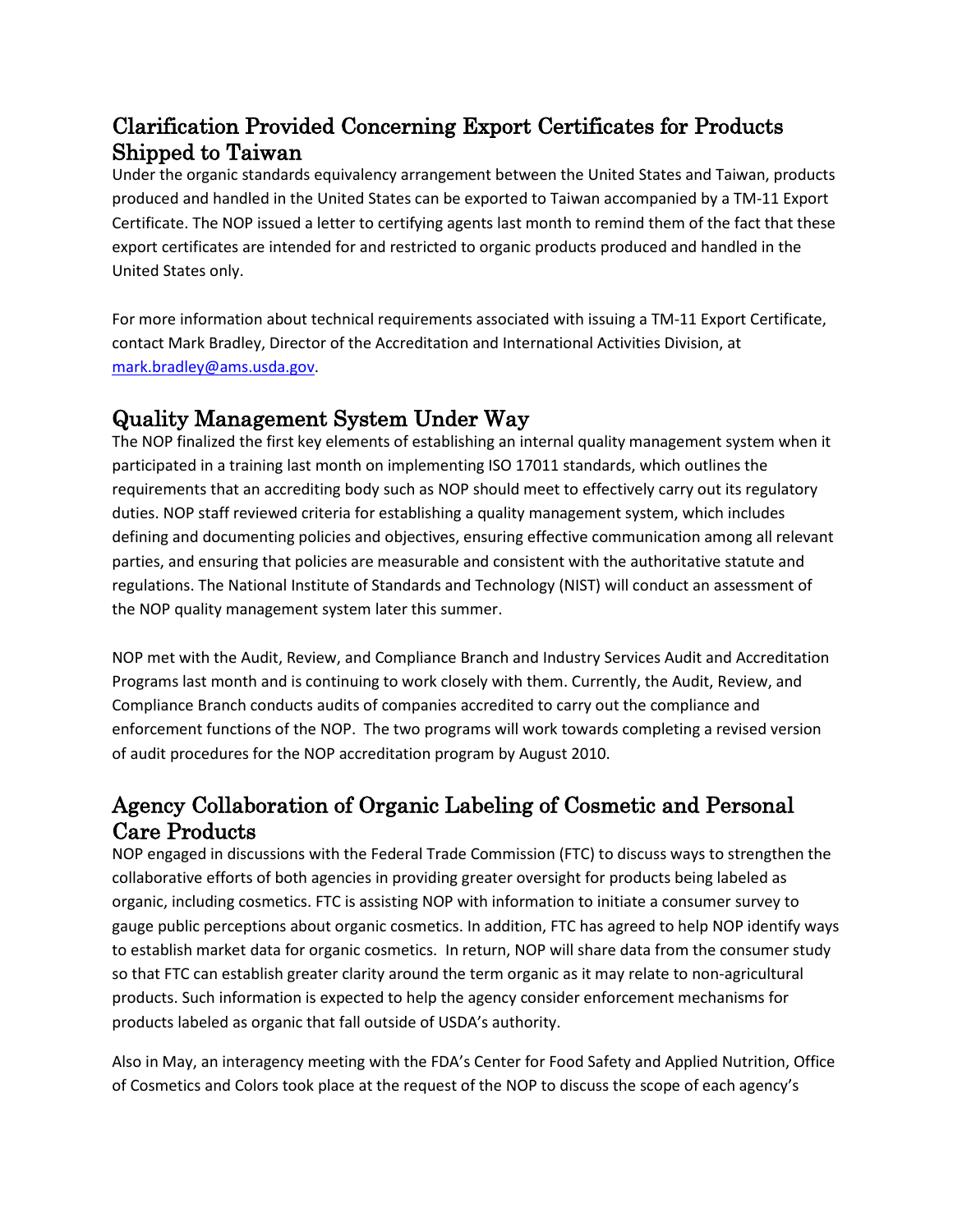# Clarification Provided Concerning Export Certificates for Products Shipped to Taiwan

Under the organic standards equivalency arrangement between the United States and Taiwan, products produced and handled in the United States can be exported to Taiwan accompanied by a TM-11 Export Certificate. The NOP issued a letter to certifying agents last month to remind them of the fact that these export certificates are intended for and restricted to organic products produced and handled in the United States only.

For more information about technical requirements associated with issuing a TM-11 Export Certificate, contact Mark Bradley, Director of the Accreditation and International Activities Division, at [mark.bradley@ams.usda.gov.](mailto:mark.bradley@ams.usda.gov)

# Quality Management System Under Way

The NOP finalized the first key elements of establishing an internal quality management system when it participated in a training last month on implementing ISO 17011 standards, which outlines the requirements that an accrediting body such as NOP should meet to effectively carry out its regulatory duties. NOP staff reviewed criteria for establishing a quality management system, which includes defining and documenting policies and objectives, ensuring effective communication among all relevant parties, and ensuring that policies are measurable and consistent with the authoritative statute and regulations. The National Institute of Standards and Technology (NIST) will conduct an assessment of the NOP quality management system later this summer.

NOP met with the Audit, Review, and Compliance Branch and Industry Services Audit and Accreditation Programs last month and is continuing to work closely with them. Currently, the Audit, Review, and Compliance Branch conducts audits of companies accredited to carry out the compliance and enforcement functions of the NOP. The two programs will work towards completing a revised version of audit procedures for the NOP accreditation program by August 2010.

# Agency Collaboration of Organic Labeling of Cosmetic and Personal Care Products

NOP engaged in discussions with the Federal Trade Commission (FTC) to discuss ways to strengthen the collaborative efforts of both agencies in providing greater oversight for products being labeled as organic, including cosmetics. FTC is assisting NOP with information to initiate a consumer survey to gauge public perceptions about organic cosmetics. In addition, FTC has agreed to help NOP identify ways to establish market data for organic cosmetics. In return, NOP will share data from the consumer study so that FTC can establish greater clarity around the term organic as it may relate to non-agricultural products. Such information is expected to help the agency consider enforcement mechanisms for products labeled as organic that fall outside of USDA's authority.

Also in May, an interagency meeting with the FDA's Center for Food Safety and Applied Nutrition, Office of Cosmetics and Colors took place at the request of the NOP to discuss the scope of each agency's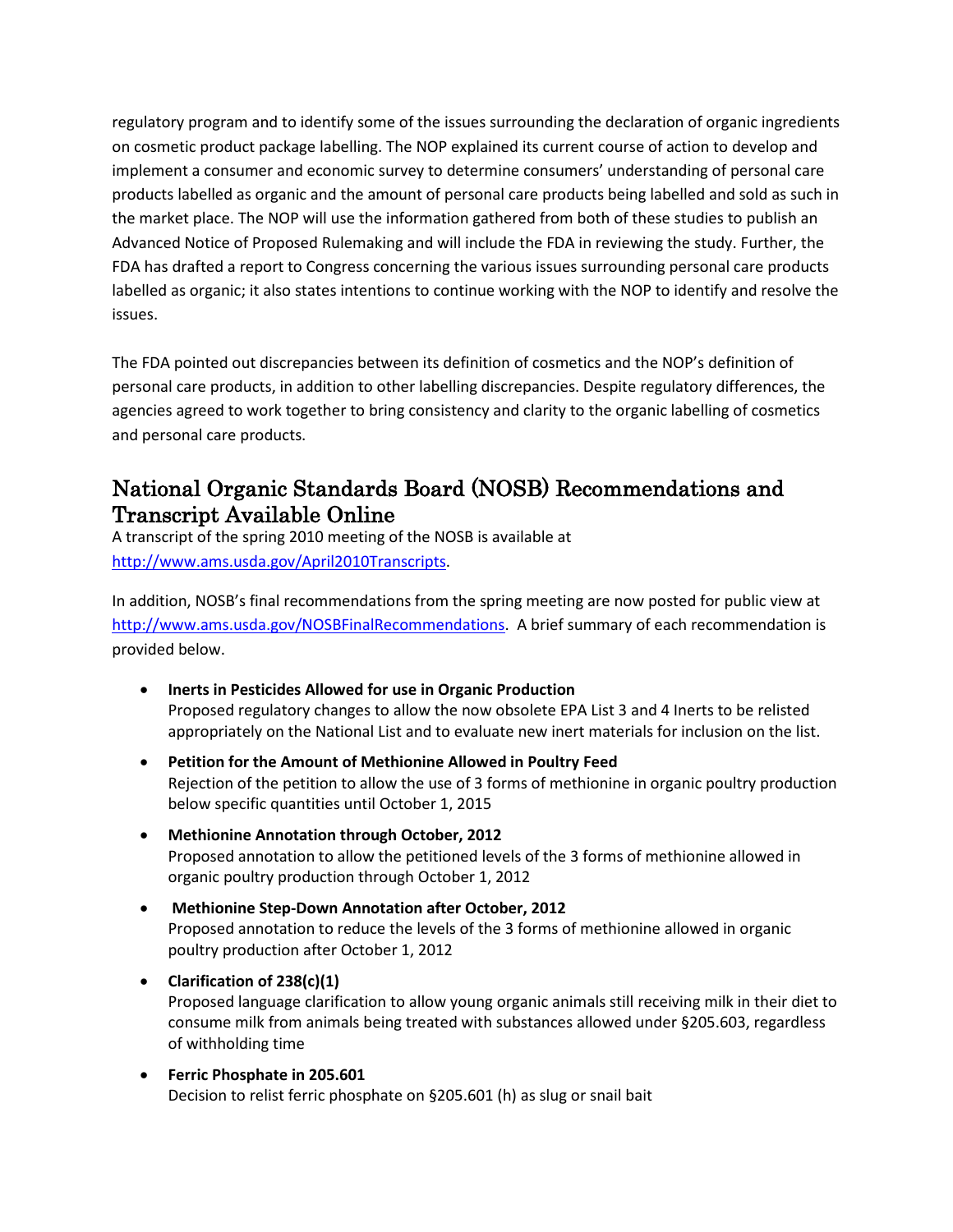regulatory program and to identify some of the issues surrounding the declaration of organic ingredients on cosmetic product package labelling. The NOP explained its current course of action to develop and implement a consumer and economic survey to determine consumers' understanding of personal care products labelled as organic and the amount of personal care products being labelled and sold as such in the market place. The NOP will use the information gathered from both of these studies to publish an Advanced Notice of Proposed Rulemaking and will include the FDA in reviewing the study. Further, the FDA has drafted a report to Congress concerning the various issues surrounding personal care products labelled as organic; it also states intentions to continue working with the NOP to identify and resolve the issues.

The FDA pointed out discrepancies between its definition of cosmetics and the NOP's definition of personal care products, in addition to other labelling discrepancies. Despite regulatory differences, the agencies agreed to work together to bring consistency and clarity to the organic labelling of cosmetics and personal care products.

### National Organic Standards Board (NOSB) Recommendations and Transcript Available Online

A transcript of the spring 2010 meeting of the NOSB is available at [http://www.ams.usda.gov/April2010Transcripts.](http://www.ams.usda.gov/April2010Transcripts)

In addition, NOSB's final recommendations from the spring meeting are now posted for public view at [http://www.ams.usda.gov/NOSBFinalRecommendations.](http://www.ams.usda.gov/NOSBFinalRecommendations) A brief summary of each recommendation is provided below.

- **Inerts in Pesticides Allowed for use in Organic Production** Proposed regulatory changes to allow the now obsolete EPA List 3 and 4 Inerts to be relisted appropriately on the National List and to evaluate new inert materials for inclusion on the list.
- **Petition for the Amount of Methionine Allowed in Poultry Feed** Rejection of the petition to allow the use of 3 forms of methionine in organic poultry production below specific quantities until October 1, 2015
- **Methionine Annotation through October, 2012**  Proposed annotation to allow the petitioned levels of the 3 forms of methionine allowed in organic poultry production through October 1, 2012
- **Methionine Step-Down Annotation after October, 2012**  Proposed annotation to reduce the levels of the 3 forms of methionine allowed in organic poultry production after October 1, 2012
- **Clarification of 238(c)(1)** Proposed language clarification to allow young organic animals still receiving milk in their diet to consume milk from animals being treated with substances allowed under §205.603, regardless of withholding time
- **Ferric Phosphate in 205.601**  Decision to relist ferric phosphate on §205.601 (h) as slug or snail bait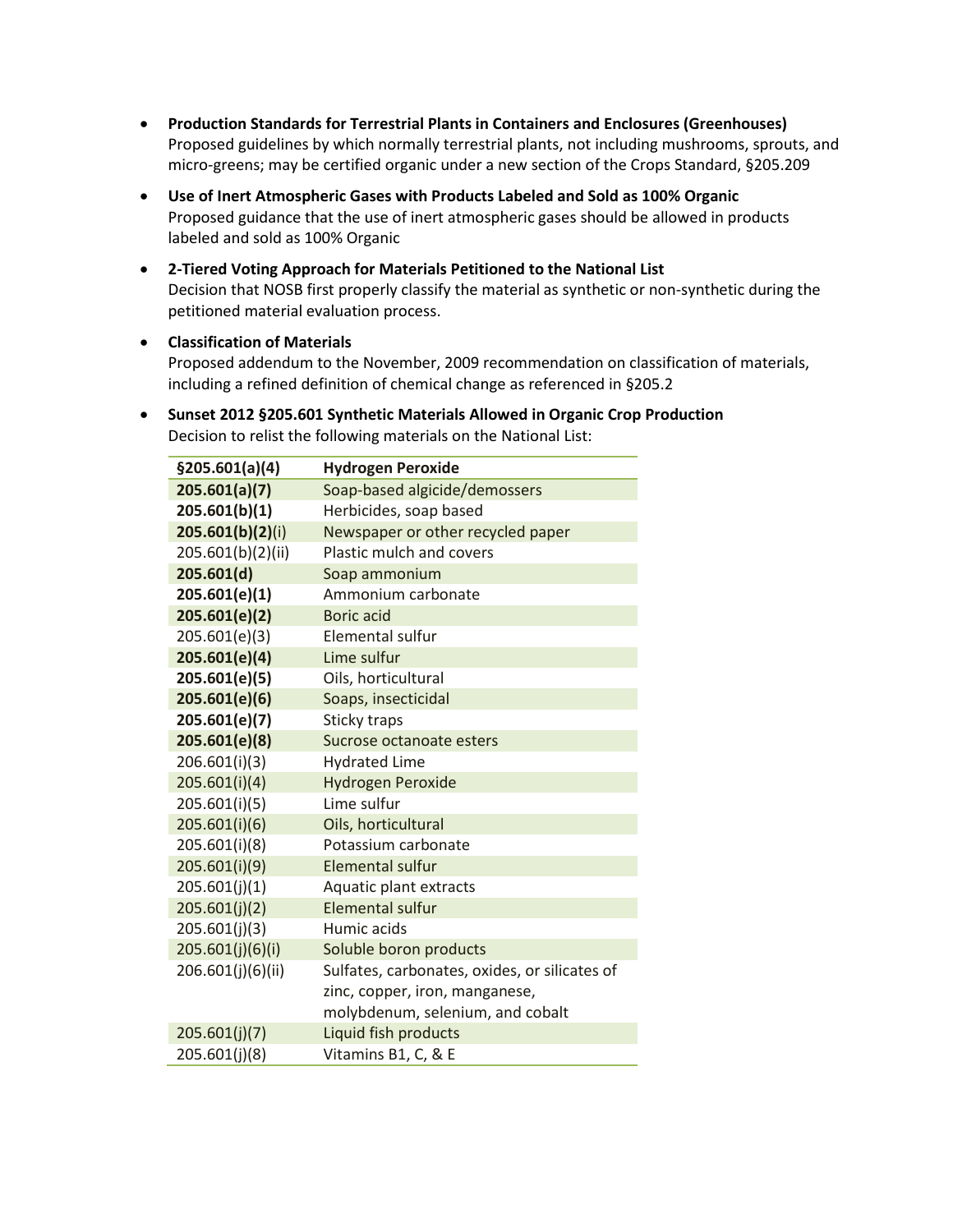- **Production Standards for Terrestrial Plants in Containers and Enclosures (Greenhouses)**  Proposed guidelines by which normally terrestrial plants, not including mushrooms, sprouts, and micro-greens; may be certified organic under a new section of the Crops Standard, §205.209
- **Use of Inert Atmospheric Gases with Products Labeled and Sold as 100% Organic**  Proposed guidance that the use of inert atmospheric gases should be allowed in products labeled and sold as 100% Organic
- **2-Tiered Voting Approach for Materials Petitioned to the National List**  Decision that NOSB first properly classify the material as synthetic or non-synthetic during the petitioned material evaluation process.
- **Classification of Materials**

Proposed addendum to the November, 2009 recommendation on classification of materials, including a refined definition of chemical change as referenced in §205.2

• **Sunset 2012 §205.601 Synthetic Materials Allowed in Organic Crop Production**  Decision to relist the following materials on the National List:

| \$205.601(a)(4)   | <b>Hydrogen Peroxide</b>                      |  |
|-------------------|-----------------------------------------------|--|
| 205.601(a)(7)     | Soap-based algicide/demossers                 |  |
| 205.601(b)(1)     | Herbicides, soap based                        |  |
| 205.601(b)(2)(i)  | Newspaper or other recycled paper             |  |
| 205.601(b)(2)(ii) | Plastic mulch and covers                      |  |
| 205.601(d)        | Soap ammonium                                 |  |
| 205.601(e)(1)     | Ammonium carbonate                            |  |
| 205.601(e)(2)     | Boric acid                                    |  |
| 205.601(e)(3)     | Elemental sulfur                              |  |
| 205.601(e)(4)     | Lime sulfur                                   |  |
| 205.601(e)(5)     | Oils, horticultural                           |  |
| 205.601(e)(6)     | Soaps, insecticidal                           |  |
| 205.601(e)(7)     | Sticky traps                                  |  |
| 205.601(e)(8)     | Sucrose octanoate esters                      |  |
| 206.601(i)(3)     | <b>Hydrated Lime</b>                          |  |
| 205.601(i)(4)     | <b>Hydrogen Peroxide</b>                      |  |
| 205.601(i)(5)     | Lime sulfur                                   |  |
| 205.601(i)(6)     | Oils, horticultural                           |  |
| 205.601(i)(8)     | Potassium carbonate                           |  |
| 205.601(i)(9)     | <b>Elemental sulfur</b>                       |  |
| 205.601(j)(1)     | Aquatic plant extracts                        |  |
| 205.601(j)(2)     | <b>Elemental sulfur</b>                       |  |
| 205.601(j)(3)     | Humic acids                                   |  |
| 205.601(j)(6)(i)  | Soluble boron products                        |  |
| 206.601(j)(6)(ii) | Sulfates, carbonates, oxides, or silicates of |  |
|                   | zinc, copper, iron, manganese,                |  |
|                   | molybdenum, selenium, and cobalt              |  |
| 205.601(i)(7)     | Liquid fish products                          |  |
| 205.601(j)(8)     | Vitamins B1, C, & E                           |  |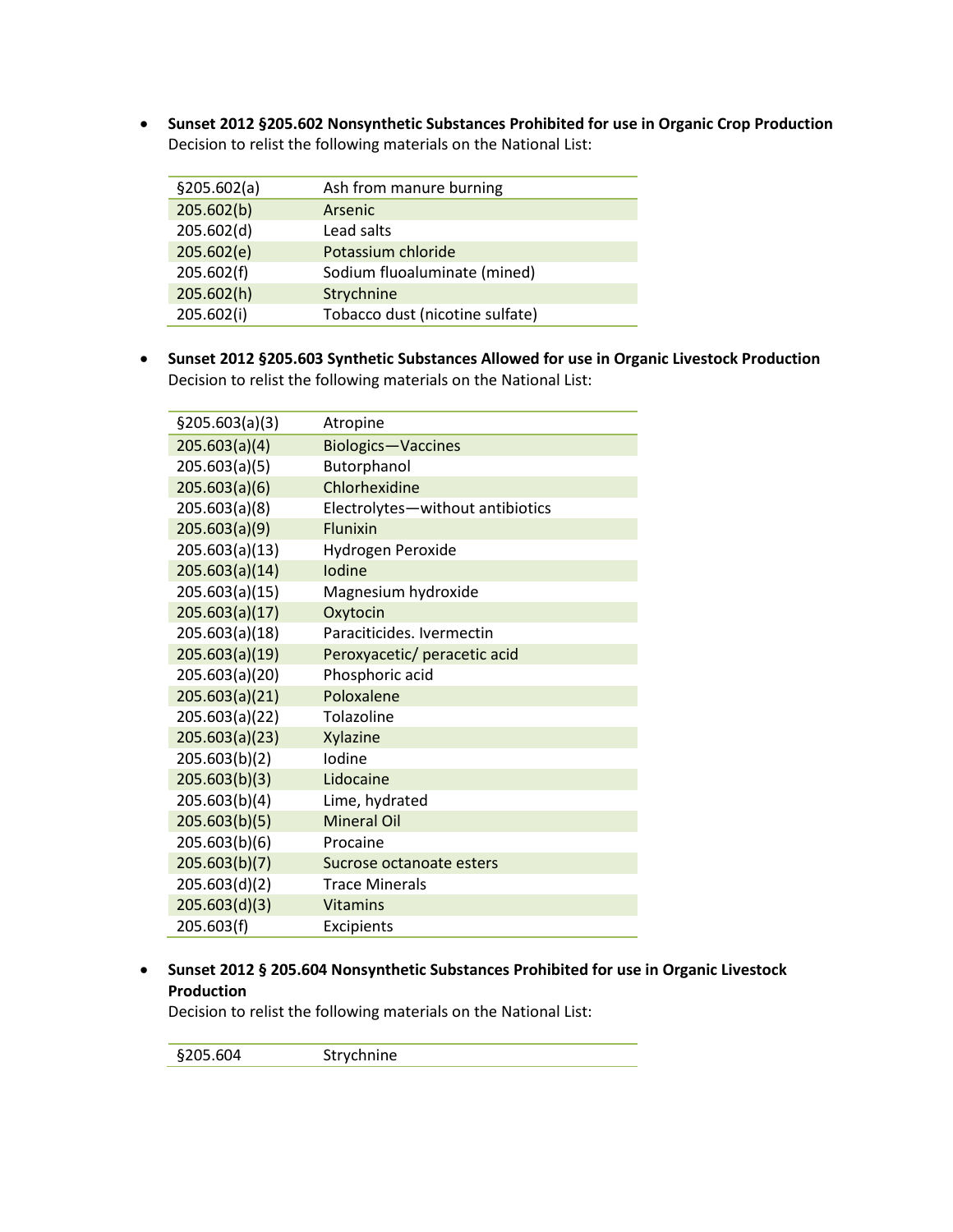• **Sunset 2012 §205.602 Nonsynthetic Substances Prohibited for use in Organic Crop Production** Decision to relist the following materials on the National List:

| \$205.602(a) | Ash from manure burning         |  |  |
|--------------|---------------------------------|--|--|
| 205.602(b)   | Arsenic                         |  |  |
| 205.602(d)   | Lead salts                      |  |  |
| 205.602(e)   | Potassium chloride              |  |  |
| 205.602(f)   | Sodium fluoaluminate (mined)    |  |  |
| 205.602(h)   | Strychnine                      |  |  |
| 205.602(i)   | Tobacco dust (nicotine sulfate) |  |  |

• **Sunset 2012 §205.603 Synthetic Substances Allowed for use in Organic Livestock Production**  Decision to relist the following materials on the National List:

| §205.603(a)(3) | Atropine                         |
|----------------|----------------------------------|
| 205.603(a)(4)  | <b>Biologics-Vaccines</b>        |
| 205.603(a)(5)  | Butorphanol                      |
| 205.603(a)(6)  | Chlorhexidine                    |
| 205.603(a)(8)  | Electrolytes-without antibiotics |
| 205.603(a)(9)  | Flunixin                         |
| 205.603(a)(13) | Hydrogen Peroxide                |
| 205.603(a)(14) | lodine                           |
| 205.603(a)(15) | Magnesium hydroxide              |
| 205.603(a)(17) | Oxytocin                         |
| 205.603(a)(18) | Paraciticides. Ivermectin        |
| 205.603(a)(19) | Peroxyacetic/ peracetic acid     |
| 205.603(a)(20) | Phosphoric acid                  |
| 205.603(a)(21) | Poloxalene                       |
| 205.603(a)(22) | Tolazoline                       |
| 205.603(a)(23) | Xylazine                         |
| 205.603(b)(2)  | Iodine                           |
| 205.603(b)(3)  | Lidocaine                        |
| 205.603(b)(4)  | Lime, hydrated                   |
| 205.603(b)(5)  | <b>Mineral Oil</b>               |
| 205.603(b)(6)  | Procaine                         |
| 205.603(b)(7)  | Sucrose octanoate esters         |
| 205.603(d)(2)  | <b>Trace Minerals</b>            |
| 205.603(d)(3)  | <b>Vitamins</b>                  |
| 205.603(f)     | Excipients                       |

#### • **Sunset 2012 § 205.604 Nonsynthetic Substances Prohibited for use in Organic Livestock Production**

Decision to relist the following materials on the National List:

§205.604 Strychnine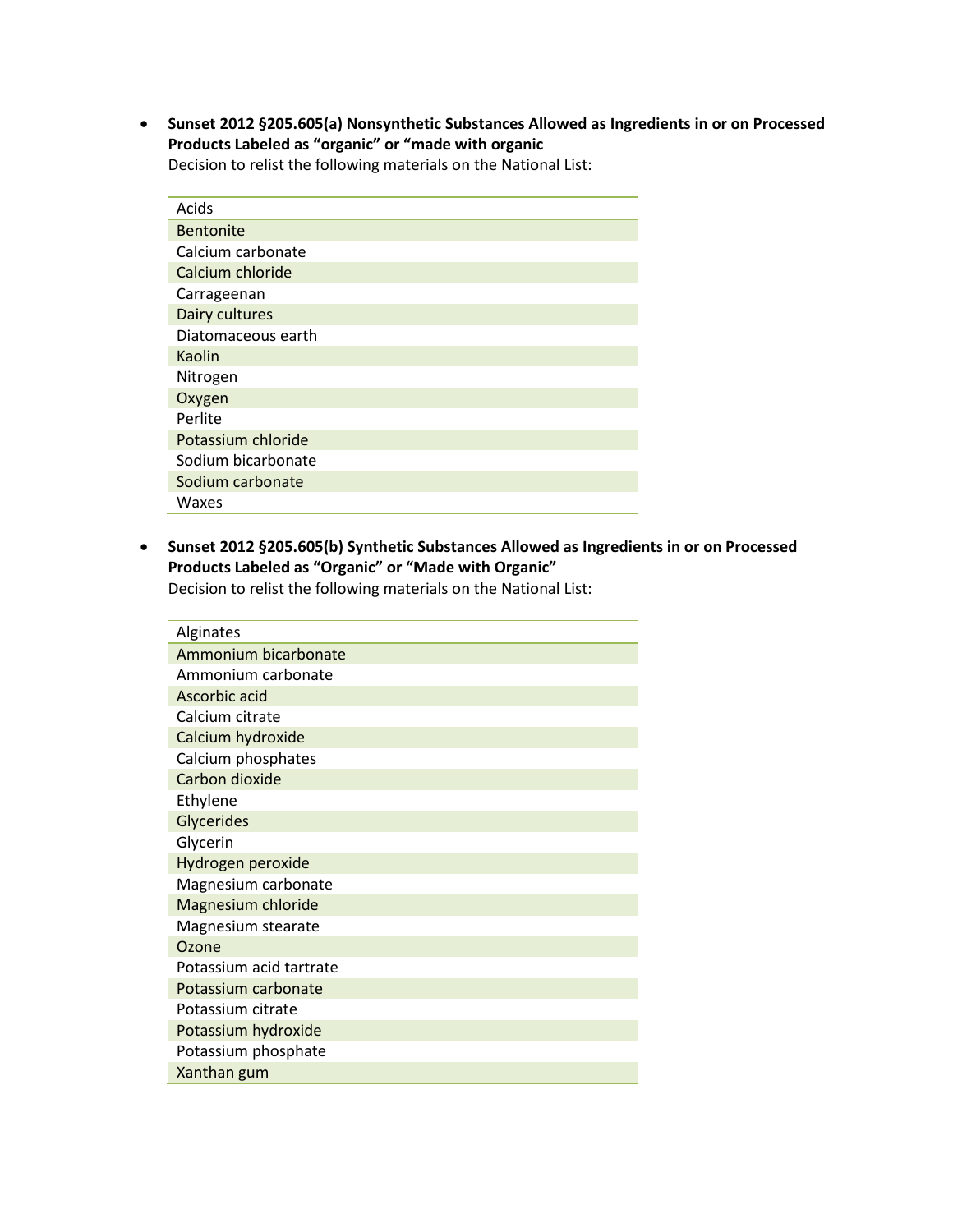• **Sunset 2012 §205.605(a) Nonsynthetic Substances Allowed as Ingredients in or on Processed Products Labeled as "organic" or "made with organic** 

Decision to relist the following materials on the National List:

| Acids              |
|--------------------|
| <b>Bentonite</b>   |
| Calcium carbonate  |
| Calcium chloride   |
| Carrageenan        |
| Dairy cultures     |
| Diatomaceous earth |
| Kaolin             |
| Nitrogen           |
| Oxygen             |
| Perlite            |
| Potassium chloride |
| Sodium bicarbonate |
| Sodium carbonate   |
| Waxes              |

• **Sunset 2012 §205.605(b) Synthetic Substances Allowed as Ingredients in or on Processed Products Labeled as "Organic" or "Made with Organic"**

Decision to relist the following materials on the National List:

| Alginates               |
|-------------------------|
| Ammonium bicarbonate    |
| Ammonium carbonate      |
| Ascorbic acid           |
| Calcium citrate         |
| Calcium hydroxide       |
| Calcium phosphates      |
| Carbon dioxide          |
| Ethylene                |
| Glycerides              |
| Glycerin                |
| Hydrogen peroxide       |
| Magnesium carbonate     |
| Magnesium chloride      |
| Magnesium stearate      |
| Ozone                   |
| Potassium acid tartrate |
| Potassium carbonate     |
| Potassium citrate       |
| Potassium hydroxide     |
| Potassium phosphate     |
| Xanthan gum             |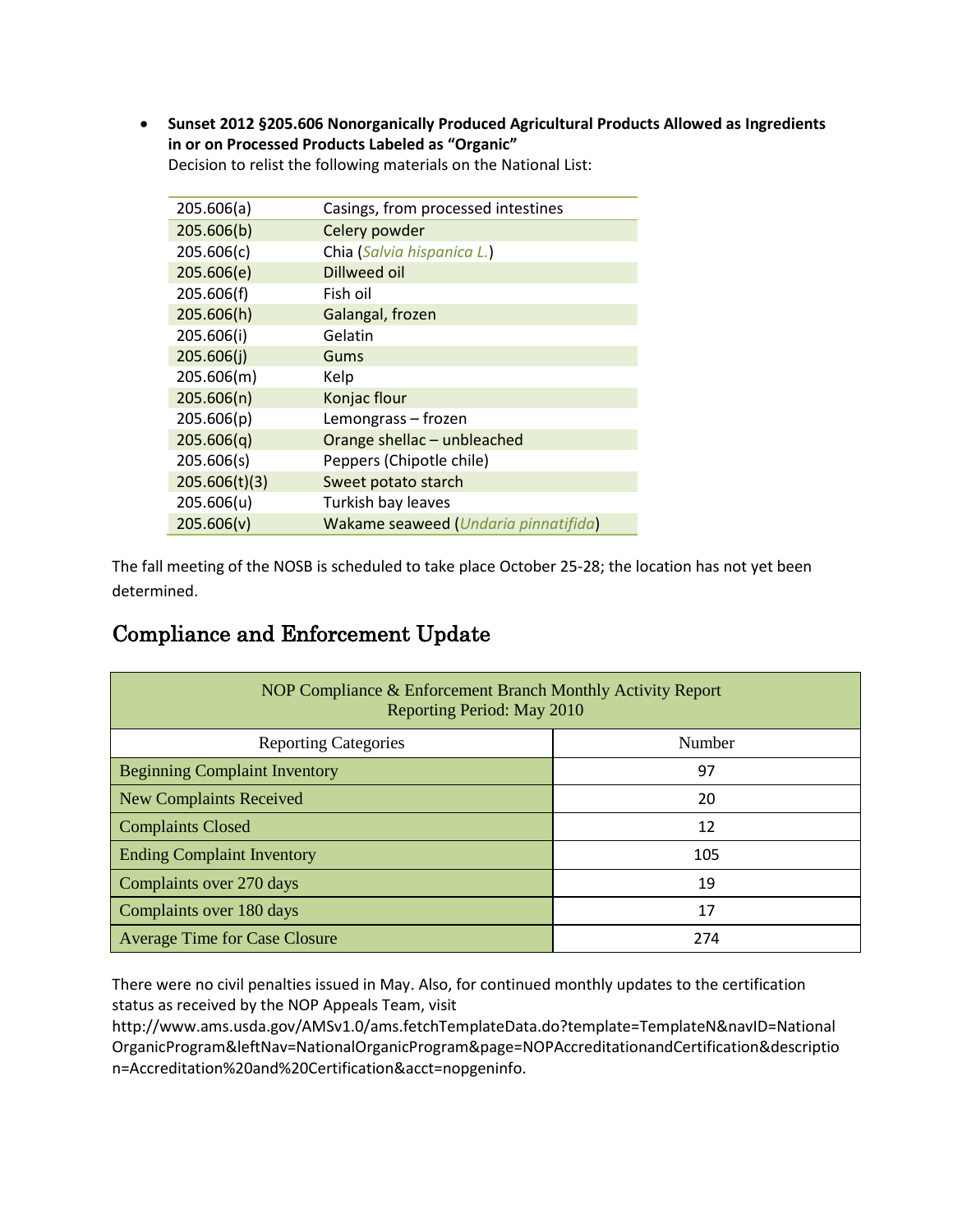• **Sunset 2012 §205.606 Nonorganically Produced Agricultural Products Allowed as Ingredients in or on Processed Products Labeled as "Organic"**

| 205.606(a)    | Casings, from processed intestines   |
|---------------|--------------------------------------|
| 205.606(b)    | Celery powder                        |
| 205.606(c)    | Chia (Salvia hispanica L.)           |
| 205.606(e)    | Dillweed oil                         |
| 205.606(f)    | Fish oil                             |
| 205.606(h)    | Galangal, frozen                     |
| 205.606(i)    | Gelatin                              |
| 205.606(i)    | Gums                                 |
| 205.606(m)    | Kelp                                 |
| 205.606(n)    | Konjac flour                         |
| 205.606(p)    | Lemongrass - frozen                  |
| 205.606(q)    | Orange shellac - unbleached          |
| 205.606(s)    | Peppers (Chipotle chile)             |
| 205.606(t)(3) | Sweet potato starch                  |
| 205.606(u)    | Turkish bay leaves                   |
| 205.606(v)    | Wakame seaweed (Undaria pinnatifida) |
|               |                                      |

Decision to relist the following materials on the National List:

The fall meeting of the NOSB is scheduled to take place October 25-28; the location has not yet been determined.

## Compliance and Enforcement Update

| NOP Compliance & Enforcement Branch Monthly Activity Report<br>Reporting Period: May 2010 |        |  |  |  |
|-------------------------------------------------------------------------------------------|--------|--|--|--|
| <b>Reporting Categories</b>                                                               | Number |  |  |  |
| <b>Beginning Complaint Inventory</b>                                                      | 97     |  |  |  |
| <b>New Complaints Received</b>                                                            | 20     |  |  |  |
| <b>Complaints Closed</b>                                                                  | 12     |  |  |  |
| <b>Ending Complaint Inventory</b>                                                         | 105    |  |  |  |
| Complaints over 270 days                                                                  | 19     |  |  |  |
| Complaints over 180 days                                                                  | 17     |  |  |  |
| <b>Average Time for Case Closure</b>                                                      | 274    |  |  |  |

There were no civil penalties issued in May. Also, for continued monthly updates to the certification status as received by the NOP Appeals Team, visit

http://www.ams.usda.gov/AMSv1.0/ams.fetchTemplateData.do?template=TemplateN&navID=National OrganicProgram&leftNav=NationalOrganicProgram&page=NOPAccreditationandCertification&descriptio n=Accreditation%20and%20Certification&acct=nopgeninfo.